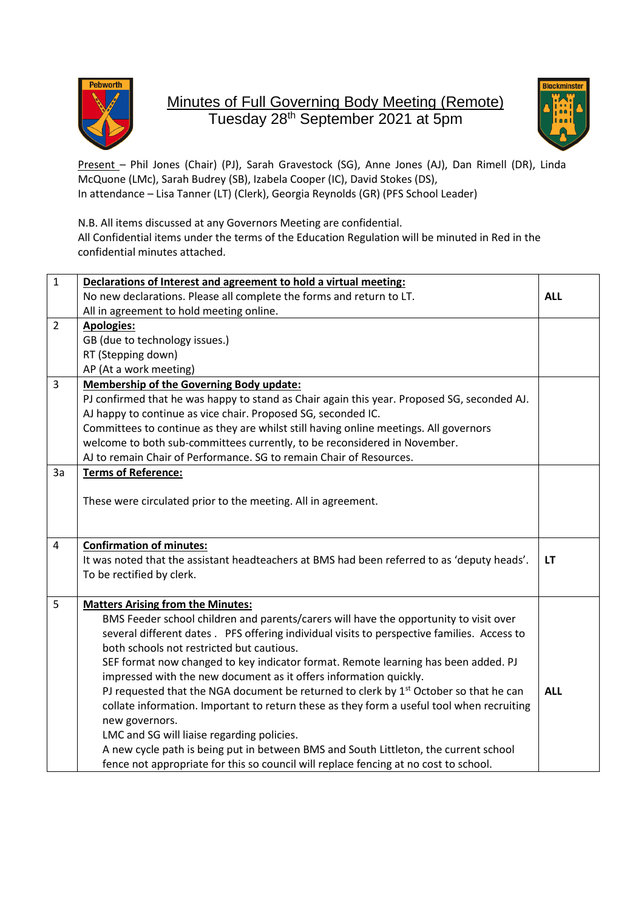

## Minutes of Full Governing Body Meeting (Remote) Tuesday 28 th September 2021 at 5pm



Present - Phil Jones (Chair) (PJ), Sarah Gravestock (SG), Anne Jones (AJ), Dan Rimell (DR), Linda McQuone (LMc), Sarah Budrey (SB), Izabela Cooper (IC), David Stokes (DS), In attendance – Lisa Tanner (LT) (Clerk), Georgia Reynolds (GR) (PFS School Leader)

N.B. All items discussed at any Governors Meeting are confidential. All Confidential items under the terms of the Education Regulation will be minuted in Red in the confidential minutes attached.

| $\mathbf{1}$   | Declarations of Interest and agreement to hold a virtual meeting:                                 |            |
|----------------|---------------------------------------------------------------------------------------------------|------------|
|                | No new declarations. Please all complete the forms and return to LT.                              | <b>ALL</b> |
|                | All in agreement to hold meeting online.                                                          |            |
| $\overline{2}$ | <b>Apologies:</b>                                                                                 |            |
|                | GB (due to technology issues.)                                                                    |            |
|                | RT (Stepping down)                                                                                |            |
|                | AP (At a work meeting)                                                                            |            |
| 3              | <b>Membership of the Governing Body update:</b>                                                   |            |
|                | PJ confirmed that he was happy to stand as Chair again this year. Proposed SG, seconded AJ.       |            |
|                | AJ happy to continue as vice chair. Proposed SG, seconded IC.                                     |            |
|                | Committees to continue as they are whilst still having online meetings. All governors             |            |
|                | welcome to both sub-committees currently, to be reconsidered in November.                         |            |
|                | AJ to remain Chair of Performance. SG to remain Chair of Resources.                               |            |
| 3a             | <b>Terms of Reference:</b>                                                                        |            |
|                | These were circulated prior to the meeting. All in agreement.                                     |            |
| $\overline{4}$ | <b>Confirmation of minutes:</b>                                                                   |            |
|                | It was noted that the assistant headteachers at BMS had been referred to as 'deputy heads'.       | LT         |
|                | To be rectified by clerk.                                                                         |            |
| 5              | <b>Matters Arising from the Minutes:</b>                                                          |            |
|                | BMS Feeder school children and parents/carers will have the opportunity to visit over             |            |
|                | several different dates . PFS offering individual visits to perspective families. Access to       |            |
|                | both schools not restricted but cautious.                                                         |            |
|                | SEF format now changed to key indicator format. Remote learning has been added. PJ                |            |
|                | impressed with the new document as it offers information quickly.                                 |            |
|                | PJ requested that the NGA document be returned to clerk by 1 <sup>st</sup> October so that he can | <b>ALL</b> |
|                | collate information. Important to return these as they form a useful tool when recruiting         |            |
|                | new governors.                                                                                    |            |
|                | LMC and SG will liaise regarding policies.                                                        |            |
|                | A new cycle path is being put in between BMS and South Littleton, the current school              |            |
|                | fence not appropriate for this so council will replace fencing at no cost to school.              |            |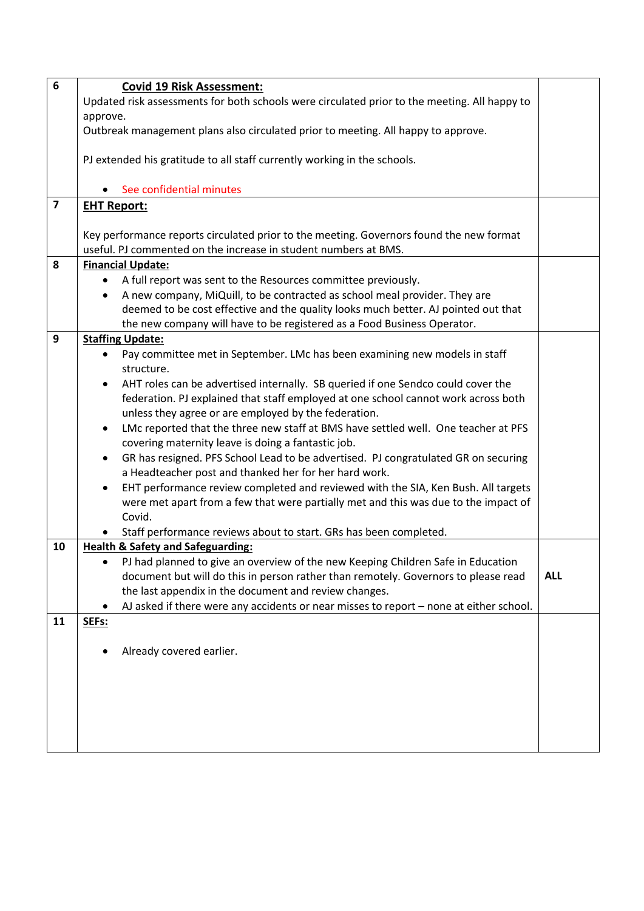| $6\phantom{1}6$         | <b>Covid 19 Risk Assessment:</b>                                                                      |            |
|-------------------------|-------------------------------------------------------------------------------------------------------|------------|
|                         | Updated risk assessments for both schools were circulated prior to the meeting. All happy to          |            |
|                         | approve.                                                                                              |            |
|                         | Outbreak management plans also circulated prior to meeting. All happy to approve.                     |            |
|                         | PJ extended his gratitude to all staff currently working in the schools.                              |            |
|                         | See confidential minutes                                                                              |            |
| $\overline{\mathbf{z}}$ | <b>EHT Report:</b>                                                                                    |            |
|                         | Key performance reports circulated prior to the meeting. Governors found the new format               |            |
|                         | useful. PJ commented on the increase in student numbers at BMS.                                       |            |
| 8                       | <b>Financial Update:</b>                                                                              |            |
|                         | A full report was sent to the Resources committee previously.                                         |            |
|                         | A new company, MiQuill, to be contracted as school meal provider. They are<br>$\bullet$               |            |
|                         | deemed to be cost effective and the quality looks much better. AJ pointed out that                    |            |
|                         | the new company will have to be registered as a Food Business Operator.                               |            |
| $\mathbf{9}$            | <b>Staffing Update:</b>                                                                               |            |
|                         | Pay committee met in September. LMc has been examining new models in staff<br>$\bullet$<br>structure. |            |
|                         | AHT roles can be advertised internally. SB queried if one Sendco could cover the                      |            |
|                         | federation. PJ explained that staff employed at one school cannot work across both                    |            |
|                         | unless they agree or are employed by the federation.                                                  |            |
|                         | LMc reported that the three new staff at BMS have settled well. One teacher at PFS<br>$\bullet$       |            |
|                         | covering maternity leave is doing a fantastic job.                                                    |            |
|                         | GR has resigned. PFS School Lead to be advertised. PJ congratulated GR on securing<br>٠               |            |
|                         | a Headteacher post and thanked her for her hard work.                                                 |            |
|                         | EHT performance review completed and reviewed with the SIA, Ken Bush. All targets                     |            |
|                         | were met apart from a few that were partially met and this was due to the impact of                   |            |
|                         | Covid.                                                                                                |            |
|                         | Staff performance reviews about to start. GRs has been completed.                                     |            |
| 10                      | <b>Health &amp; Safety and Safeguarding:</b>                                                          |            |
|                         | PJ had planned to give an overview of the new Keeping Children Safe in Education<br>$\bullet$         |            |
|                         | document but will do this in person rather than remotely. Governors to please read                    | <b>ALL</b> |
|                         | the last appendix in the document and review changes.                                                 |            |
|                         | AJ asked if there were any accidents or near misses to report - none at either school.                |            |
| 11                      | SEFs:                                                                                                 |            |
|                         |                                                                                                       |            |
|                         | Already covered earlier.                                                                              |            |
|                         |                                                                                                       |            |
|                         |                                                                                                       |            |
|                         |                                                                                                       |            |
|                         |                                                                                                       |            |
|                         |                                                                                                       |            |
|                         |                                                                                                       |            |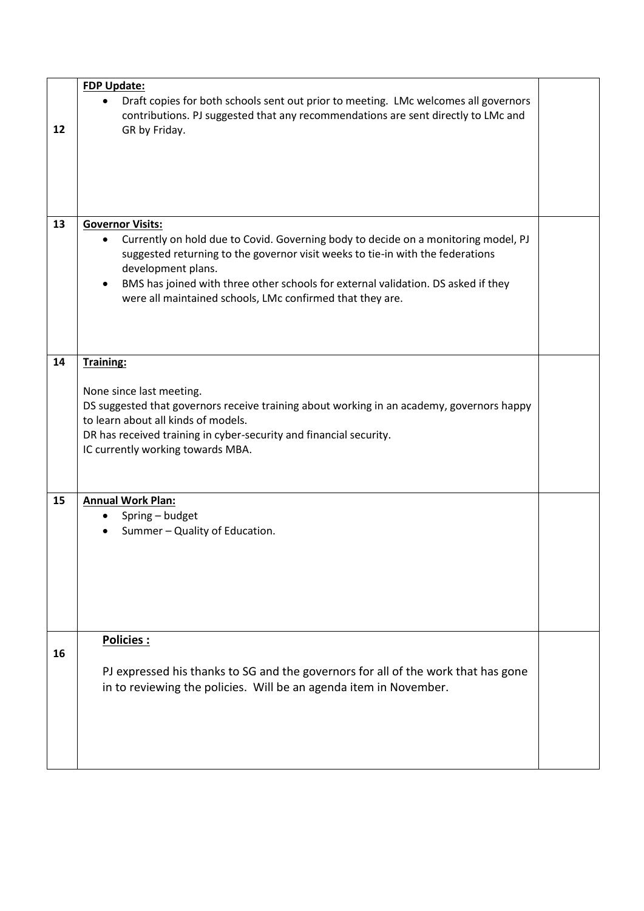|    | <b>FDP Update:</b>                                                                                                                                                                                                                                                                                                                                                                   |  |
|----|--------------------------------------------------------------------------------------------------------------------------------------------------------------------------------------------------------------------------------------------------------------------------------------------------------------------------------------------------------------------------------------|--|
| 12 | Draft copies for both schools sent out prior to meeting. LMc welcomes all governors<br>$\bullet$<br>contributions. PJ suggested that any recommendations are sent directly to LMc and<br>GR by Friday.                                                                                                                                                                               |  |
|    |                                                                                                                                                                                                                                                                                                                                                                                      |  |
| 13 | <b>Governor Visits:</b><br>Currently on hold due to Covid. Governing body to decide on a monitoring model, PJ<br>suggested returning to the governor visit weeks to tie-in with the federations<br>development plans.<br>BMS has joined with three other schools for external validation. DS asked if they<br>$\bullet$<br>were all maintained schools, LMc confirmed that they are. |  |
| 14 | <b>Training:</b>                                                                                                                                                                                                                                                                                                                                                                     |  |
|    | None since last meeting.<br>DS suggested that governors receive training about working in an academy, governors happy<br>to learn about all kinds of models.<br>DR has received training in cyber-security and financial security.<br>IC currently working towards MBA.                                                                                                              |  |
| 15 | <b>Annual Work Plan:</b><br>Spring - budget<br>٠                                                                                                                                                                                                                                                                                                                                     |  |
|    | Summer - Quality of Education.                                                                                                                                                                                                                                                                                                                                                       |  |
| 16 | Policies :                                                                                                                                                                                                                                                                                                                                                                           |  |
|    | PJ expressed his thanks to SG and the governors for all of the work that has gone<br>in to reviewing the policies. Will be an agenda item in November.                                                                                                                                                                                                                               |  |